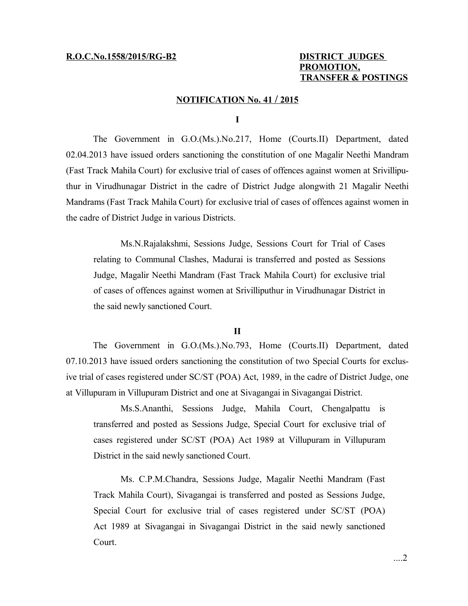# **PROMOTION, TRANSFER & POSTINGS**

### **NOTIFICATION No. 41 / 2015**

#### **I**

The Government in G.O.(Ms.).No.217, Home (Courts.II) Department, dated 02.04.2013 have issued orders sanctioning the constitution of one Magalir Neethi Mandram (Fast Track Mahila Court) for exclusive trial of cases of offences against women at Srivilliputhur in Virudhunagar District in the cadre of District Judge alongwith 21 Magalir Neethi Mandrams (Fast Track Mahila Court) for exclusive trial of cases of offences against women in the cadre of District Judge in various Districts.

Ms.N.Rajalakshmi, Sessions Judge, Sessions Court for Trial of Cases relating to Communal Clashes, Madurai is transferred and posted as Sessions Judge, Magalir Neethi Mandram (Fast Track Mahila Court) for exclusive trial of cases of offences against women at Srivilliputhur in Virudhunagar District in the said newly sanctioned Court.

#### **II**

The Government in G.O.(Ms.).No.793, Home (Courts.II) Department, dated 07.10.2013 have issued orders sanctioning the constitution of two Special Courts for exclusive trial of cases registered under SC/ST (POA) Act, 1989, in the cadre of District Judge, one at Villupuram in Villupuram District and one at Sivagangai in Sivagangai District.

Ms.S.Ananthi, Sessions Judge, Mahila Court, Chengalpattu is transferred and posted as Sessions Judge, Special Court for exclusive trial of cases registered under SC/ST (POA) Act 1989 at Villupuram in Villupuram District in the said newly sanctioned Court.

Ms. C.P.M.Chandra, Sessions Judge, Magalir Neethi Mandram (Fast Track Mahila Court), Sivagangai is transferred and posted as Sessions Judge, Special Court for exclusive trial of cases registered under SC/ST (POA) Act 1989 at Sivagangai in Sivagangai District in the said newly sanctioned Court.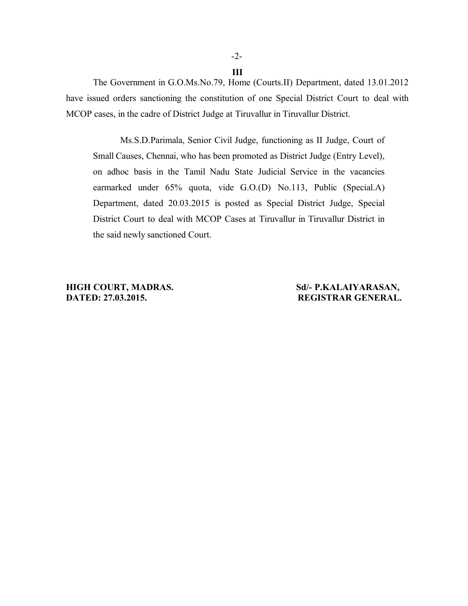## -2- **III**

The Government in G.O.Ms.No.79, Home (Courts.II) Department, dated 13.01.2012 have issued orders sanctioning the constitution of one Special District Court to deal with MCOP cases, in the cadre of District Judge at Tiruvallur in Tiruvallur District.

Ms.S.D.Parimala, Senior Civil Judge, functioning as II Judge, Court of Small Causes, Chennai, who has been promoted as District Judge (Entry Level), on adhoc basis in the Tamil Nadu State Judicial Service in the vacancies earmarked under 65% quota, vide G.O.(D) No.113, Public (Special.A) Department, dated 20.03.2015 is posted as Special District Judge, Special District Court to deal with MCOP Cases at Tiruvallur in Tiruvallur District in the said newly sanctioned Court.

**HIGH COURT, MADRAS. Sd/- P.KALAIYARASAN, DATED: 27.03.2015. REGISTRAR GENERAL.**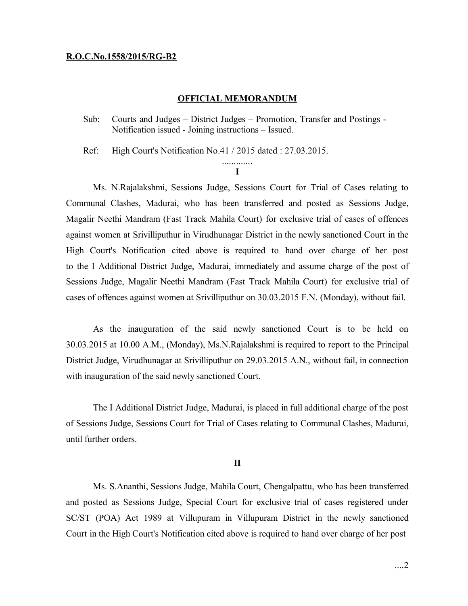#### **R.O.C.No.1558/2015/RG-B2**

### **OFFICIAL MEMORANDUM**

Sub: Courts and Judges – District Judges – Promotion, Transfer and Postings - Notification issued - Joining instructions – Issued.

Ref: High Court's Notification No.41 / 2015 dated : 27.03.2015.

#### ............. **I**

Ms. N.Rajalakshmi, Sessions Judge, Sessions Court for Trial of Cases relating to Communal Clashes, Madurai, who has been transferred and posted as Sessions Judge, Magalir Neethi Mandram (Fast Track Mahila Court) for exclusive trial of cases of offences against women at Srivilliputhur in Virudhunagar District in the newly sanctioned Court in the High Court's Notification cited above is required to hand over charge of her post to the I Additional District Judge, Madurai, immediately and assume charge of the post of Sessions Judge, Magalir Neethi Mandram (Fast Track Mahila Court) for exclusive trial of cases of offences against women at Srivilliputhur on 30.03.2015 F.N. (Monday), without fail.

As the inauguration of the said newly sanctioned Court is to be held on 30.03.2015 at 10.00 A.M., (Monday), Ms.N.Rajalakshmi is required to report to the Principal District Judge, Virudhunagar at Srivilliputhur on 29.03.2015 A.N., without fail, in connection with inauguration of the said newly sanctioned Court.

The I Additional District Judge, Madurai, is placed in full additional charge of the post of Sessions Judge, Sessions Court for Trial of Cases relating to Communal Clashes, Madurai, until further orders.

#### **II**

Ms. S.Ananthi, Sessions Judge, Mahila Court, Chengalpattu, who has been transferred and posted as Sessions Judge, Special Court for exclusive trial of cases registered under SC/ST (POA) Act 1989 at Villupuram in Villupuram District in the newly sanctioned Court in the High Court's Notification cited above is required to hand over charge of her post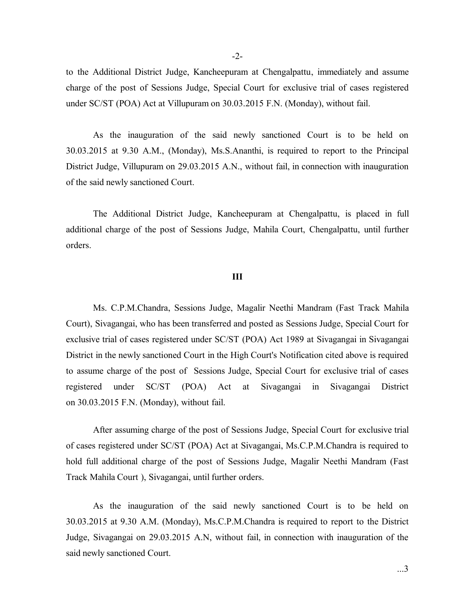to the Additional District Judge, Kancheepuram at Chengalpattu, immediately and assume charge of the post of Sessions Judge, Special Court for exclusive trial of cases registered under SC/ST (POA) Act at Villupuram on 30.03.2015 F.N. (Monday), without fail.

As the inauguration of the said newly sanctioned Court is to be held on 30.03.2015 at 9.30 A.M., (Monday), Ms.S.Ananthi, is required to report to the Principal District Judge, Villupuram on 29.03.2015 A.N., without fail, in connection with inauguration of the said newly sanctioned Court.

The Additional District Judge, Kancheepuram at Chengalpattu, is placed in full additional charge of the post of Sessions Judge, Mahila Court, Chengalpattu, until further orders.

#### **III**

Ms. C.P.M.Chandra, Sessions Judge, Magalir Neethi Mandram (Fast Track Mahila Court), Sivagangai, who has been transferred and posted as Sessions Judge, Special Court for exclusive trial of cases registered under SC/ST (POA) Act 1989 at Sivagangai in Sivagangai District in the newly sanctioned Court in the High Court's Notification cited above is required to assume charge of the post of Sessions Judge, Special Court for exclusive trial of cases registered under SC/ST (POA) Act at Sivagangai in Sivagangai District on 30.03.2015 F.N. (Monday), without fail.

After assuming charge of the post of Sessions Judge, Special Court for exclusive trial of cases registered under SC/ST (POA) Act at Sivagangai, Ms.C.P.M.Chandra is required to hold full additional charge of the post of Sessions Judge, Magalir Neethi Mandram (Fast Track Mahila Court ), Sivagangai, until further orders.

As the inauguration of the said newly sanctioned Court is to be held on 30.03.2015 at 9.30 A.M. (Monday), Ms.C.P.M.Chandra is required to report to the District Judge, Sivagangai on 29.03.2015 A.N, without fail, in connection with inauguration of the said newly sanctioned Court.